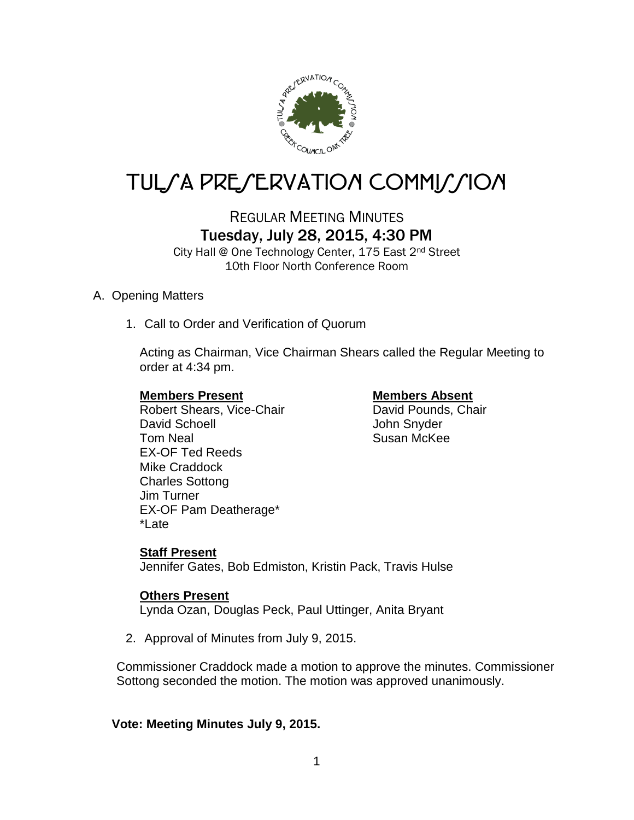

# TUL*SA PRESERVATION COMMISSION*

# REGULAR MEETING MINUTES Tuesday, July 28, 2015, 4:30 PM

City Hall @ One Technology Center, 175 East 2nd Street 10th Floor North Conference Room

# A. Opening Matters

1. Call to Order and Verification of Quorum

Acting as Chairman, Vice Chairman Shears called the Regular Meeting to order at 4:34 pm.

Robert Shears, Vice-Chair David Schoell **David Schoell** John Snyder Tom Neal Susan McKee EX-OF Ted Reeds Mike Craddock Charles Sottong Jim Turner EX-OF Pam Deatherage\* \*Late

**Members Present Members Absent**<br>
Robert Shears, Vice-Chair<br>
Navid Pounds, Chair

# **Staff Present**

Jennifer Gates, Bob Edmiston, Kristin Pack, Travis Hulse

# **Others Present**

Lynda Ozan, Douglas Peck, Paul Uttinger, Anita Bryant

2. Approval of Minutes from July 9, 2015.

Commissioner Craddock made a motion to approve the minutes. Commissioner Sottong seconded the motion. The motion was approved unanimously.

## **Vote: Meeting Minutes July 9, 2015.**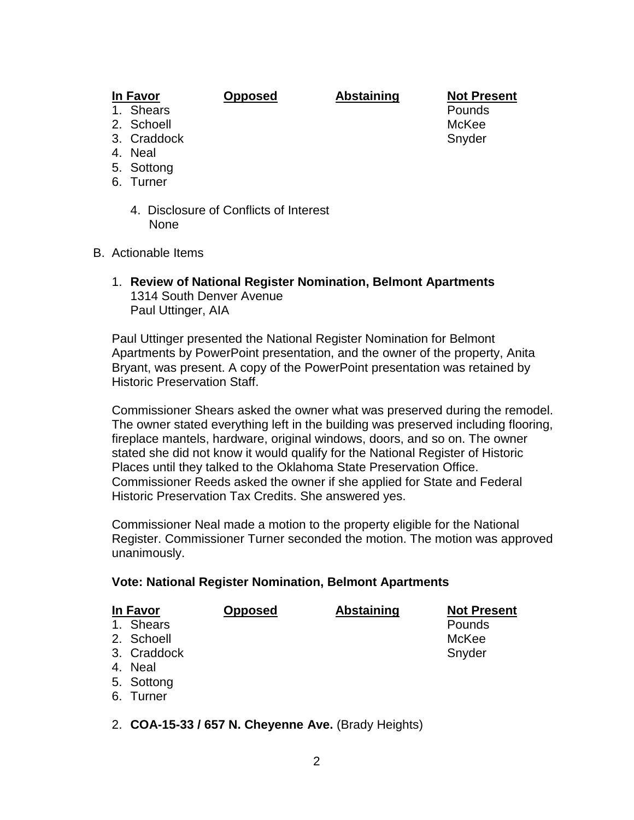# **In Favor Opposed Abstaining Not Present**

- 
- 
- 
- 4. Neal
- 5. Sottong
- 6. Turner
	- 4. Disclosure of Conflicts of Interest None
- B. Actionable Items
	- 1. **Review of National Register Nomination, Belmont Apartments** 1314 South Denver Avenue Paul Uttinger, AIA

Paul Uttinger presented the National Register Nomination for Belmont Apartments by PowerPoint presentation, and the owner of the property, Anita Bryant, was present. A copy of the PowerPoint presentation was retained by Historic Preservation Staff.

Commissioner Shears asked the owner what was preserved during the remodel. The owner stated everything left in the building was preserved including flooring, fireplace mantels, hardware, original windows, doors, and so on. The owner stated she did not know it would qualify for the National Register of Historic Places until they talked to the Oklahoma State Preservation Office. Commissioner Reeds asked the owner if she applied for State and Federal Historic Preservation Tax Credits. She answered yes.

Commissioner Neal made a motion to the property eligible for the National Register. Commissioner Turner seconded the motion. The motion was approved unanimously.

### **Vote: National Register Nomination, Belmont Apartments**

| <u>In Favor</u> | <b>Opposed</b> | <b>Abstaining</b> | <b>Not Present</b> |
|-----------------|----------------|-------------------|--------------------|
| 1. Shears       |                |                   | Pounds             |
| 2. Schoell      |                |                   | McKee              |
| 3. Craddock     |                |                   | Snyder             |
| 4. Neal         |                |                   |                    |
| 5 Sottona       |                |                   |                    |

- 5. Sottong 6. Turner
- 2. **COA-15-33 / 657 N. Cheyenne Ave.** (Brady Heights)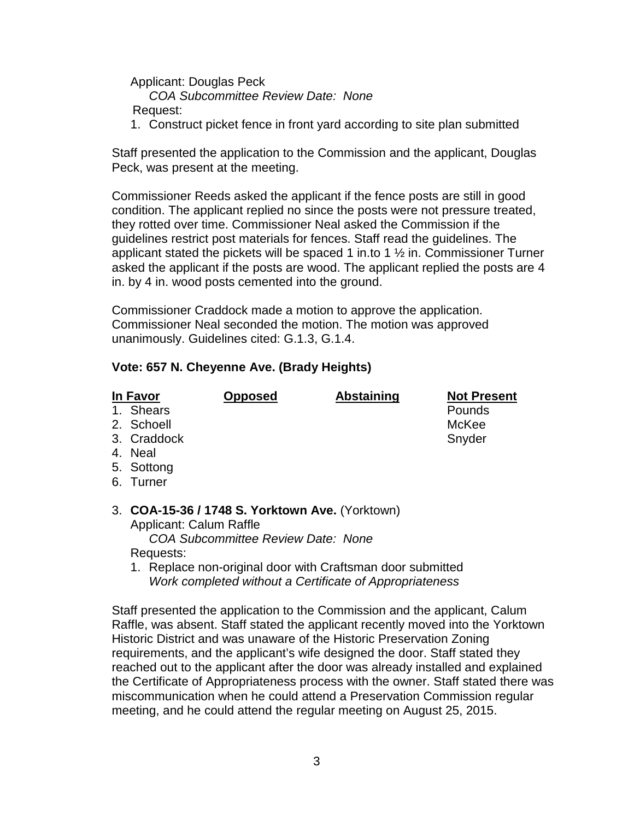Applicant: Douglas Peck *COA Subcommittee Review Date: None*

Request:

1. Construct picket fence in front yard according to site plan submitted

Staff presented the application to the Commission and the applicant, Douglas Peck, was present at the meeting.

Commissioner Reeds asked the applicant if the fence posts are still in good condition. The applicant replied no since the posts were not pressure treated, they rotted over time. Commissioner Neal asked the Commission if the guidelines restrict post materials for fences. Staff read the guidelines. The applicant stated the pickets will be spaced 1 in.to 1  $\frac{1}{2}$  in. Commissioner Turner asked the applicant if the posts are wood. The applicant replied the posts are 4 in. by 4 in. wood posts cemented into the ground.

Commissioner Craddock made a motion to approve the application. Commissioner Neal seconded the motion. The motion was approved unanimously. Guidelines cited: G.1.3, G.1.4.

## **Vote: 657 N. Cheyenne Ave. (Brady Heights)**

| In Favor                                        | <b>Opposed</b> | <b>Abstaining</b> | <b>Not Present</b> |
|-------------------------------------------------|----------------|-------------------|--------------------|
| 1. Shears                                       |                |                   | Pounds             |
| 2. Schoell                                      |                |                   | McKee              |
| 3. Craddock                                     |                |                   | Snyder             |
| 4. Neal                                         |                |                   |                    |
| 5. Sottong                                      |                |                   |                    |
| 6. Turner                                       |                |                   |                    |
|                                                 |                |                   |                    |
| 3. COA-15-36 / 1748 S. Yorktown Ave. (Yorktown) |                |                   |                    |

# 3. **COA-15-36 / 1748 S. Yorktown Ave.** (Yorktown) Applicant: Calum Raffle

 *COA Subcommittee Review Date: None* Requests:

1. Replace non-original door with Craftsman door submitted *Work completed without a Certificate of Appropriateness*

Staff presented the application to the Commission and the applicant, Calum Raffle, was absent. Staff stated the applicant recently moved into the Yorktown Historic District and was unaware of the Historic Preservation Zoning requirements, and the applicant's wife designed the door. Staff stated they reached out to the applicant after the door was already installed and explained the Certificate of Appropriateness process with the owner. Staff stated there was miscommunication when he could attend a Preservation Commission regular meeting, and he could attend the regular meeting on August 25, 2015.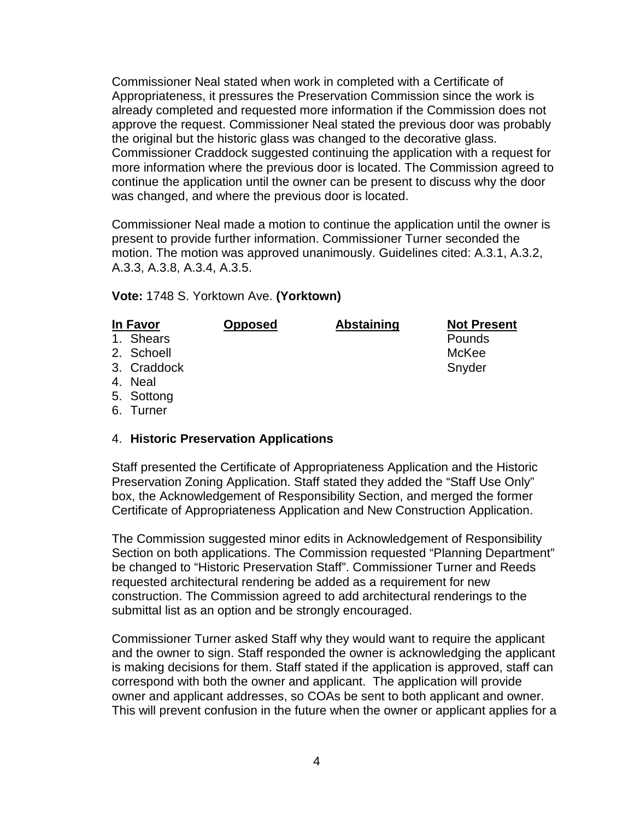Commissioner Neal stated when work in completed with a Certificate of Appropriateness, it pressures the Preservation Commission since the work is already completed and requested more information if the Commission does not approve the request. Commissioner Neal stated the previous door was probably the original but the historic glass was changed to the decorative glass. Commissioner Craddock suggested continuing the application with a request for more information where the previous door is located. The Commission agreed to continue the application until the owner can be present to discuss why the door was changed, and where the previous door is located.

Commissioner Neal made a motion to continue the application until the owner is present to provide further information. Commissioner Turner seconded the motion. The motion was approved unanimously. Guidelines cited: A.3.1, A.3.2, A.3.3, A.3.8, A.3.4, A.3.5.

**Vote:** 1748 S. Yorktown Ave. **(Yorktown)**

| In Favor    | <b>Opposed</b> | <b>Abstaining</b> | <b>Not Present</b> |
|-------------|----------------|-------------------|--------------------|
| 1. Shears   |                |                   | Pounds             |
| 2. Schoell  |                |                   | McKee              |
| 3. Craddock |                |                   | Snyder             |
| 4. Neal     |                |                   |                    |
| 5. Sottong  |                |                   |                    |

6. Turner

### 4. **Historic Preservation Applications**

Staff presented the Certificate of Appropriateness Application and the Historic Preservation Zoning Application. Staff stated they added the "Staff Use Only" box, the Acknowledgement of Responsibility Section, and merged the former Certificate of Appropriateness Application and New Construction Application.

The Commission suggested minor edits in Acknowledgement of Responsibility Section on both applications. The Commission requested "Planning Department" be changed to "Historic Preservation Staff". Commissioner Turner and Reeds requested architectural rendering be added as a requirement for new construction. The Commission agreed to add architectural renderings to the submittal list as an option and be strongly encouraged.

Commissioner Turner asked Staff why they would want to require the applicant and the owner to sign. Staff responded the owner is acknowledging the applicant is making decisions for them. Staff stated if the application is approved, staff can correspond with both the owner and applicant. The application will provide owner and applicant addresses, so COAs be sent to both applicant and owner. This will prevent confusion in the future when the owner or applicant applies for a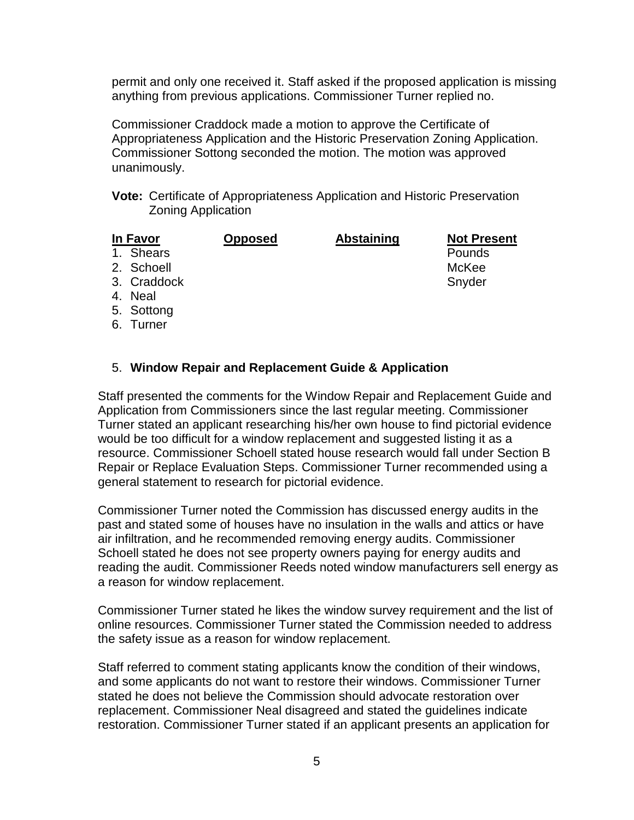permit and only one received it. Staff asked if the proposed application is missing anything from previous applications. Commissioner Turner replied no.

Commissioner Craddock made a motion to approve the Certificate of Appropriateness Application and the Historic Preservation Zoning Application. Commissioner Sottong seconded the motion. The motion was approved unanimously.

**Vote:** Certificate of Appropriateness Application and Historic Preservation Zoning Application

| In Favor  | <b>Opposed</b> | <b>Abstaining</b> | <b>Not Pre</b> |
|-----------|----------------|-------------------|----------------|
| 1. Shears |                |                   | Pounds         |

**Copposed Abstaining Not Present** 

2. Schoell McKee

- 3. Craddock Snyder
- 4. Neal
- 5. Sottong
- 6. Turner

# 5. **Window Repair and Replacement Guide & Application**

Staff presented the comments for the Window Repair and Replacement Guide and Application from Commissioners since the last regular meeting. Commissioner Turner stated an applicant researching his/her own house to find pictorial evidence would be too difficult for a window replacement and suggested listing it as a resource. Commissioner Schoell stated house research would fall under Section B Repair or Replace Evaluation Steps. Commissioner Turner recommended using a general statement to research for pictorial evidence.

Commissioner Turner noted the Commission has discussed energy audits in the past and stated some of houses have no insulation in the walls and attics or have air infiltration, and he recommended removing energy audits. Commissioner Schoell stated he does not see property owners paying for energy audits and reading the audit. Commissioner Reeds noted window manufacturers sell energy as a reason for window replacement.

Commissioner Turner stated he likes the window survey requirement and the list of online resources. Commissioner Turner stated the Commission needed to address the safety issue as a reason for window replacement.

Staff referred to comment stating applicants know the condition of their windows, and some applicants do not want to restore their windows. Commissioner Turner stated he does not believe the Commission should advocate restoration over replacement. Commissioner Neal disagreed and stated the guidelines indicate restoration. Commissioner Turner stated if an applicant presents an application for